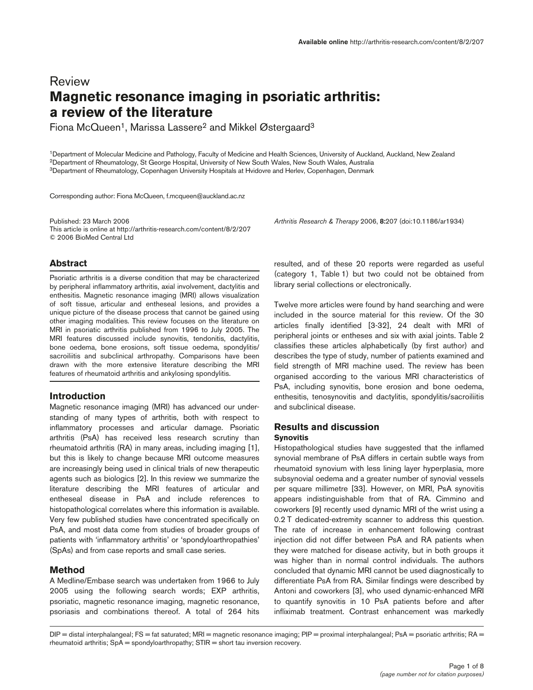# Review **Magnetic resonance imaging in psoriatic arthritis: a review of the literature**

Fiona McQueen<sup>1</sup>, Marissa Lassere<sup>2</sup> and Mikkel Østergaard<sup>3</sup>

1Department of Molecular Medicine and Pathology, Faculty of Medicine and Health Sciences, University of Auckland, Auckland, New Zealand 2Department of Rheumatology, St George Hospital, University of New South Wales, New South Wales, Australia 3Department of Rheumatology, Copenhagen University Hospitals at Hvidovre and Herlev, Copenhagen, Denmark

Corresponding author: Fiona McQueen, f.mcqueen@auckland.ac.nz

Published: 23 March 2006 *Arthritis Research & Therapy* 2006, **8:**207 (doi:10.1186/ar1934) This article is online at http://arthritis-research.com/content/8/2/207 © 2006 BioMed Central Ltd

## **Abstract**

Psoriatic arthritis is a diverse condition that may be characterized by peripheral inflammatory arthritis, axial involvement, dactylitis and enthesitis. Magnetic resonance imaging (MRI) allows visualization of soft tissue, articular and entheseal lesions, and provides a unique picture of the disease process that cannot be gained using other imaging modalities. This review focuses on the literature on MRI in psoriatic arthritis published from 1996 to July 2005. The MRI features discussed include synovitis, tendonitis, dactylitis, bone oedema, bone erosions, soft tissue oedema, spondylitis/ sacroiliitis and subclinical arthropathy. Comparisons have been drawn with the more extensive literature describing the MRI features of rheumatoid arthritis and ankylosing spondylitis.

## **Introduction**

Magnetic resonance imaging (MRI) has advanced our understanding of many types of arthritis, both with respect to inflammatory processes and articular damage. Psoriatic arthritis (PsA) has received less research scrutiny than rheumatoid arthritis (RA) in many areas, including imaging [1], but this is likely to change because MRI outcome measures are increasingly being used in clinical trials of new therapeutic agents such as biologics [2]. In this review we summarize the literature describing the MRI features of articular and entheseal disease in PsA and include references to histopathological correlates where this information is available. Very few published studies have concentrated specifically on PsA, and most data come from studies of broader groups of patients with 'inflammatory arthritis' or 'spondyloarthropathies' (SpAs) and from case reports and small case series.

## **Method**

A Medline/Embase search was undertaken from 1966 to July 2005 using the following search words; EXP arthritis, psoriatic, magnetic resonance imaging, magnetic resonance, psoriasis and combinations thereof. A total of 264 hits

resulted, and of these 20 reports were regarded as useful (category 1, Table 1) but two could not be obtained from library serial collections or electronically.

Twelve more articles were found by hand searching and were included in the source material for this review. Of the 30 articles finally identified [3-32], 24 dealt with MRI of peripheral joints or entheses and six with axial joints. Table 2 classifies these articles alphabetically (by first author) and describes the type of study, number of patients examined and field strength of MRI machine used. The review has been organised according to the various MRI characteristics of PsA, including synovitis, bone erosion and bone oedema, enthesitis, tenosynovitis and dactylitis, spondylitis/sacroiliitis and subclinical disease.

## **Results and discussion**

## **Synovitis**

Histopathological studies have suggested that the inflamed synovial membrane of PsA differs in certain subtle ways from rheumatoid synovium with less lining layer hyperplasia, more subsynovial oedema and a greater number of synovial vessels per square millimetre [33]. However, on MRI, PsA synovitis appears indistinguishable from that of RA. Cimmino and coworkers [9] recently used dynamic MRI of the wrist using a 0.2 T dedicated-extremity scanner to address this question. The rate of increase in enhancement following contrast injection did not differ between PsA and RA patients when they were matched for disease activity, but in both groups it was higher than in normal control individuals. The authors concluded that dynamic MRI cannot be used diagnostically to differentiate PsA from RA. Similar findings were described by Antoni and coworkers [3], who used dynamic-enhanced MRI to quantify synovitis in 10 PsA patients before and after infliximab treatment. Contrast enhancement was markedly

DIP = distal interphalangeal; FS = fat saturated; MRI = magnetic resonance imaging; PIP = proximal interphalangeal; PsA = psoriatic arthritis; RA = rheumatoid arthritis;  $SpA =$  spondyloarthropathy;  $STIR =$  short tau inversion recovery.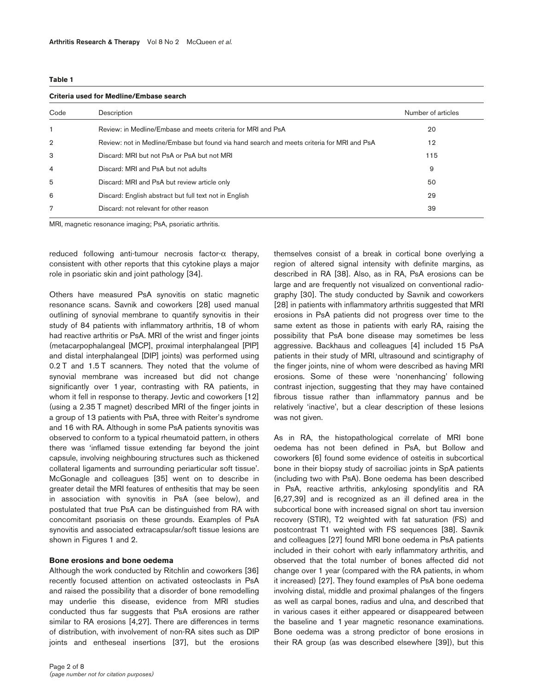#### **Table 1**

#### **Criteria used for Medline/Embase search**

| Code           | Description                                                                                | Number of articles |  |
|----------------|--------------------------------------------------------------------------------------------|--------------------|--|
| $\mathbf{1}$   | Review: in Medline/Embase and meets criteria for MRI and PsA                               | 20                 |  |
| $\overline{2}$ | Review: not in Medline/Embase but found via hand search and meets criteria for MRI and PsA | 12                 |  |
| 3              | Discard: MRI but not PsA or PsA but not MRI                                                | 115                |  |
| $\overline{4}$ | Discard: MRI and PsA but not adults                                                        | 9                  |  |
| 5              | Discard: MRI and PsA but review article only                                               | 50                 |  |
| 6              | Discard: English abstract but full text not in English                                     | 29                 |  |
| 7              | Discard: not relevant for other reason                                                     | 39                 |  |

MRI, magnetic resonance imaging; PsA, psoriatic arthritis.

reduced following anti-tumour necrosis factor-α therapy, consistent with other reports that this cytokine plays a major role in psoriatic skin and joint pathology [34].

Others have measured PsA synovitis on static magnetic resonance scans. Savnik and coworkers [28] used manual outlining of synovial membrane to quantify synovitis in their study of 84 patients with inflammatory arthritis, 18 of whom had reactive arthritis or PsA. MRI of the wrist and finger joints (metacarpophalangeal [MCP], proximal interphalangeal [PIP] and distal interphalangeal [DIP] joints) was performed using 0.2 T and 1.5 T scanners. They noted that the volume of synovial membrane was increased but did not change significantly over 1 year, contrasting with RA patients, in whom it fell in response to therapy. Jevtic and coworkers [12] (using a 2.35 T magnet) described MRI of the finger joints in a group of 13 patients with PsA, three with Reiter's syndrome and 16 with RA. Although in some PsA patients synovitis was observed to conform to a typical rheumatoid pattern, in others there was 'inflamed tissue extending far beyond the joint capsule, involving neighbouring structures such as thickened collateral ligaments and surrounding periarticular soft tissue'. McGonagle and colleagues [35] went on to describe in greater detail the MRI features of enthesitis that may be seen in association with synovitis in PsA (see below), and postulated that true PsA can be distinguished from RA with concomitant psoriasis on these grounds. Examples of PsA synovitis and associated extracapsular/soft tissue lesions are shown in Figures 1 and 2.

#### **Bone erosions and bone oedema**

Although the work conducted by Ritchlin and coworkers [36] recently focused attention on activated osteoclasts in PsA and raised the possibility that a disorder of bone remodelling may underlie this disease, evidence from MRI studies conducted thus far suggests that PsA erosions are rather similar to RA erosions [4,27]. There are differences in terms of distribution, with involvement of non-RA sites such as DIP joints and entheseal insertions [37], but the erosions

themselves consist of a break in cortical bone overlying a region of altered signal intensity with definite margins, as described in RA [38]. Also, as in RA, PsA erosions can be large and are frequently not visualized on conventional radiography [30]. The study conducted by Savnik and coworkers [28] in patients with inflammatory arthritis suggested that MRI erosions in PsA patients did not progress over time to the same extent as those in patients with early RA, raising the possibility that PsA bone disease may sometimes be less aggressive. Backhaus and colleagues [4] included 15 PsA patients in their study of MRI, ultrasound and scintigraphy of the finger joints, nine of whom were described as having MRI erosions. Some of these were 'nonenhancing' following contrast injection, suggesting that they may have contained fibrous tissue rather than inflammatory pannus and be relatively 'inactive', but a clear description of these lesions was not given.

As in RA, the histopathological correlate of MRI bone oedema has not been defined in PsA, but Bollow and coworkers [6] found some evidence of osteitis in subcortical bone in their biopsy study of sacroiliac joints in SpA patients (including two with PsA). Bone oedema has been described in PsA, reactive arthritis, ankylosing spondylitis and RA [6,27,39] and is recognized as an ill defined area in the subcortical bone with increased signal on short tau inversion recovery (STIR), T2 weighted with fat saturation (FS) and postcontrast T1 weighted with FS sequences [38]. Savnik and colleagues [27] found MRI bone oedema in PsA patients included in their cohort with early inflammatory arthritis, and observed that the total number of bones affected did not change over 1 year (compared with the RA patients, in whom it increased) [27]. They found examples of PsA bone oedema involving distal, middle and proximal phalanges of the fingers as well as carpal bones, radius and ulna, and described that in various cases it either appeared or disappeared between the baseline and 1 year magnetic resonance examinations. Bone oedema was a strong predictor of bone erosions in their RA group (as was described elsewhere [39]), but this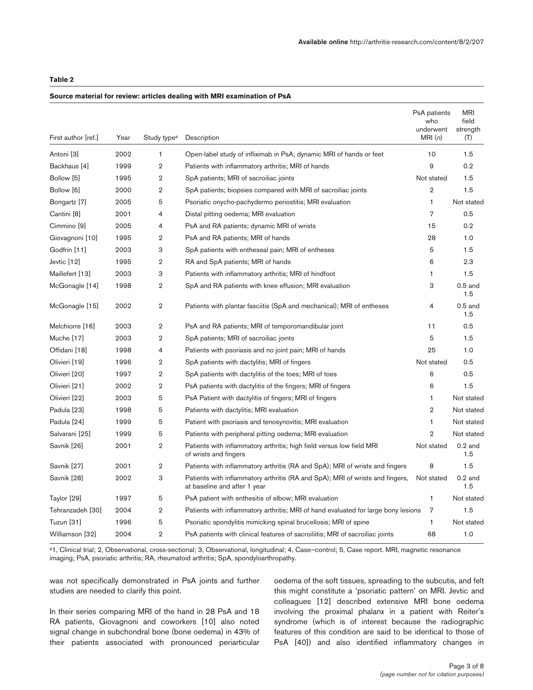### **Table 2**

#### **Source material for review: articles dealing with MRI examination of PsA**

| First author [ref.] | Year | Study type <sup>a</sup> | Description                                                                                                   | PsA patients<br>who<br>underwent<br>MRI(n) | <b>MRI</b><br>field<br>strength<br>(T) |
|---------------------|------|-------------------------|---------------------------------------------------------------------------------------------------------------|--------------------------------------------|----------------------------------------|
| Antoni [3]          | 2002 | 1                       | Open-label study of infliximab in PsA; dynamic MRI of hands or feet                                           | 10                                         | 1.5                                    |
| Backhaus [4]        | 1999 | $\overline{2}$          | Patients with inflammatory arthritis; MRI of hands                                                            | 9                                          | 0.2                                    |
| Bollow [5]          | 1995 | $\overline{2}$          | SpA patients; MRI of sacroiliac joints                                                                        | Not stated                                 | 1.5                                    |
| Bollow [6]          | 2000 | $\overline{2}$          | SpA patients; biopsies compared with MRI of sacroiliac joints                                                 | $\overline{2}$                             | 1.5                                    |
| Bongartz [7]        | 2005 | 5                       | Psoriatic onycho-pachydermo periostitis; MRI evaluation                                                       | $\mathbf{1}$                               | Not stated                             |
| Cantini [8]         | 2001 | $\overline{4}$          | Distal pitting oedema; MRI evaluation                                                                         | $\overline{7}$                             | 0.5                                    |
| Cimmino [9]         | 2005 | $\overline{4}$          | PsA and RA patients; dynamic MRI of wrists                                                                    | 15                                         | 0.2                                    |
| Giovagnoni [10]     | 1995 | $\overline{2}$          | PsA and RA patients; MRI of hands                                                                             | 28                                         | 1.0                                    |
| Godfrin [11]        | 2003 | 3                       | SpA patients with entheseal pain; MRI of entheses                                                             | 5                                          | 1.5                                    |
| Jevtic [12]         | 1995 | $\overline{2}$          | RA and SpA patients; MRI of hands                                                                             | 6                                          | 2.3                                    |
| Maillefert [13]     | 2003 | 3                       | Patients with inflammatory arthritis; MRI of hindfoot                                                         | $\mathbf{1}$                               | 1.5                                    |
| McGonagle [14]      | 1998 | $\overline{2}$          | SpA and RA patients with knee effusion; MRI evaluation                                                        | 3                                          | $0.5$ and<br>1.5                       |
| McGonagle [15]      | 2002 | $\overline{2}$          | Patients with plantar fasciitis (SpA and mechanical); MRI of entheses                                         | 4                                          | $0.5$ and<br>1.5                       |
| Melchiorre [16]     | 2003 | $\overline{2}$          | PsA and RA patients; MRI of temporomandibular joint                                                           | 11                                         | 0.5                                    |
| Muche [17]          | 2003 | $\overline{2}$          | SpA patients; MRI of sacroiliac joints                                                                        | 5                                          | 1.5                                    |
| Offidani [18]       | 1998 | 4                       | Patients with psoriasis and no joint pain; MRI of hands                                                       | 25                                         | 1.0                                    |
| Olivieri [19]       | 1996 | $\overline{2}$          | SpA patients with dactylitis; MRI of fingers                                                                  | Not stated                                 | 0.5                                    |
| Olivieri [20]       | 1997 | $\overline{2}$          | SpA patients with dactylitis of the toes; MRI of toes                                                         | 6                                          | 0.5                                    |
| Olivieri [21]       | 2002 | $\overline{2}$          | PsA patients with dactylitis of the fingers; MRI of fingers                                                   | 6                                          | 1.5                                    |
| Olivieri [22]       | 2003 | 5                       | PsA Patient with dactylitis of fingers; MRI of fingers                                                        | 1                                          | Not stated                             |
| Padula [23]         | 1998 | 5                       | Patients with dactylitis; MRI evaluation                                                                      | $\overline{2}$                             | Not stated                             |
| Padula [24]         | 1999 | 5                       | Patient with psoriasis and tenosynovitis; MRI evaluation                                                      | 1                                          | Not stated                             |
| Salvarani [25]      | 1999 | 5                       | Patients with peripheral pitting oedema; MRI evaluation                                                       | $\overline{2}$                             | Not stated                             |
| Savnik [26]         | 2001 | $\overline{2}$          | Patients with inflammatory arthritis; high field versus low field MRI<br>of wrists and fingers                | Not stated                                 | $0.2$ and<br>1.5                       |
| Savnik [27]         | 2001 | $\overline{2}$          | Patients with inflammatory arthritis (RA and SpA); MRI of wrists and fingers                                  | 8                                          | 1.5                                    |
| Savnik [28]         | 2002 | 3                       | Patients with inflammatory arthritis (RA and SpA); MRI of wrists and fingers,<br>at baseline and after 1 year | Not stated                                 | $0.2$ and<br>1.5                       |
| Taylor [29]         | 1997 | 5                       | PsA patient with enthesitis of elbow; MRI evaluation                                                          | $\mathbf{1}$                               | Not stated                             |
| Tehranzadeh [30]    | 2004 | $\overline{2}$          | Patients with inflammatory arthritis; MRI of hand evaluated for large bony lesions                            | 7                                          | 1.5                                    |
| Tuzun [31]          | 1996 | 5                       | Psoriatic spondylitis mimicking spinal brucellosis; MRI of spine                                              | 1                                          | Not stated                             |
| Williamson [32]     | 2004 | $\overline{2}$          | PsA patients with clinical features of sacroiliitis; MRI of sacroiliac joints                                 | 68                                         | 1.0                                    |

a1, Clinical trial; 2, Observational, cross-sectional; 3, Observational, longitudinal; 4, Case-control; 5, Case report. MRI, magnetic resonance imaging; PsA, psoriatic arthritis; RA, rheumatoid arthritis; SpA, spondyloarthropathy.

was not specifically demonstrated in PsA joints and further studies are needed to clarify this point.

In their series comparing MRI of the hand in 28 PsA and 18 RA patients, Giovagnoni and coworkers [10] also noted signal change in subchondral bone (bone oedema) in 43% of their patients associated with pronounced periarticular oedema of the soft tissues, spreading to the subcutis, and felt this might constitute a 'psoriatic pattern' on MRI. Jevtic and colleagues [12] described extensive MRI bone oedema involving the proximal phalanx in a patient with Reiter's syndrome (which is of interest because the radiographic features of this condition are said to be identical to those of PsA [40]) and also identified inflammatory changes in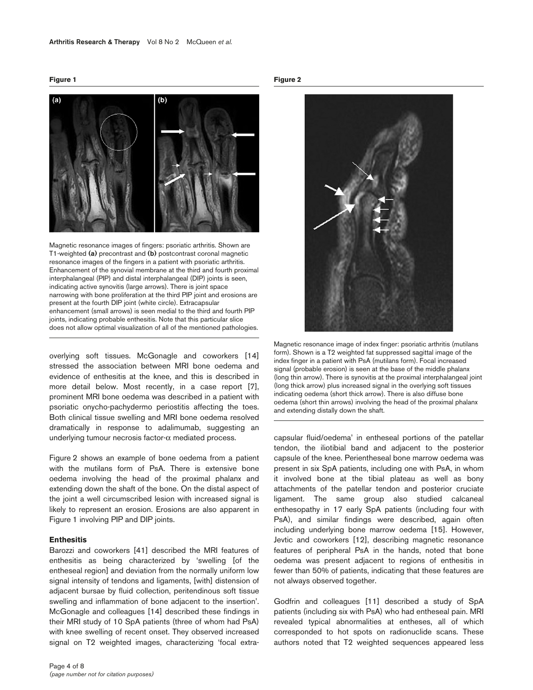

Magnetic resonance images of fingers: psoriatic arthritis. Shown are T1-weighted **(a)** precontrast and **(b)** postcontrast coronal magnetic resonance images of the fingers in a patient with psoriatic arthritis. Enhancement of the synovial membrane at the third and fourth proximal interphalangeal (PIP) and distal interphalangeal (DIP) joints is seen, indicating active synovitis (large arrows). There is joint space narrowing with bone proliferation at the third PIP joint and erosions are present at the fourth DIP joint (white circle). Extracapsular enhancement (small arrows) is seen medial to the third and fourth PIP joints, indicating probable enthesitis. Note that this particular slice does not allow optimal visualization of all of the mentioned pathologies.

overlying soft tissues. McGonagle and coworkers [14] stressed the association between MRI bone oedema and evidence of enthesitis at the knee, and this is described in more detail below. Most recently, in a case report [7], prominent MRI bone oedema was described in a patient with psoriatic onycho-pachydermo periostitis affecting the toes. Both clinical tissue swelling and MRI bone oedema resolved dramatically in response to adalimumab, suggesting an underlying tumour necrosis factor-α mediated process.

Figure 2 shows an example of bone oedema from a patient with the mutilans form of PsA. There is extensive bone oedema involving the head of the proximal phalanx and extending down the shaft of the bone. On the distal aspect of the joint a well circumscribed lesion with increased signal is likely to represent an erosion. Erosions are also apparent in Figure 1 involving PIP and DIP joints.

#### **Enthesitis**

Barozzi and coworkers [41] described the MRI features of enthesitis as being characterized by 'swelling [of the entheseal region] and deviation from the normally uniform low signal intensity of tendons and ligaments, [with] distension of adjacent bursae by fluid collection, peritendinous soft tissue swelling and inflammation of bone adjacent to the insertion'. McGonagle and colleagues [14] described these findings in their MRI study of 10 SpA patients (three of whom had PsA) with knee swelling of recent onset. They observed increased signal on T2 weighted images, characterizing 'focal extra**Figure 2**



Magnetic resonance image of index finger: psoriatic arthritis (mutilans form). Shown is a T2 weighted fat suppressed sagittal image of the index finger in a patient with PsA (mutilans form). Focal increased signal (probable erosion) is seen at the base of the middle phalanx (long thin arrow). There is synovitis at the proximal interphalangeal joint (long thick arrow) plus increased signal in the overlying soft tissues indicating oedema (short thick arrow). There is also diffuse bone oedema (short thin arrows) involving the head of the proximal phalanx and extending distally down the shaft.

capsular fluid/oedema' in entheseal portions of the patellar tendon, the iliotibial band and adjacent to the posterior capsule of the knee. Perientheseal bone marrow oedema was present in six SpA patients, including one with PsA, in whom it involved bone at the tibial plateau as well as bony attachments of the patellar tendon and posterior cruciate ligament. The same group also studied calcaneal enthesopathy in 17 early SpA patients (including four with PsA), and similar findings were described, again often including underlying bone marrow oedema [15]. However, Jevtic and coworkers [12], describing magnetic resonance features of peripheral PsA in the hands, noted that bone oedema was present adjacent to regions of enthesitis in fewer than 50% of patients, indicating that these features are not always observed together.

Godfrin and colleagues [11] described a study of SpA patients (including six with PsA) who had entheseal pain. MRI revealed typical abnormalities at entheses, all of which corresponded to hot spots on radionuclide scans. These authors noted that T2 weighted sequences appeared less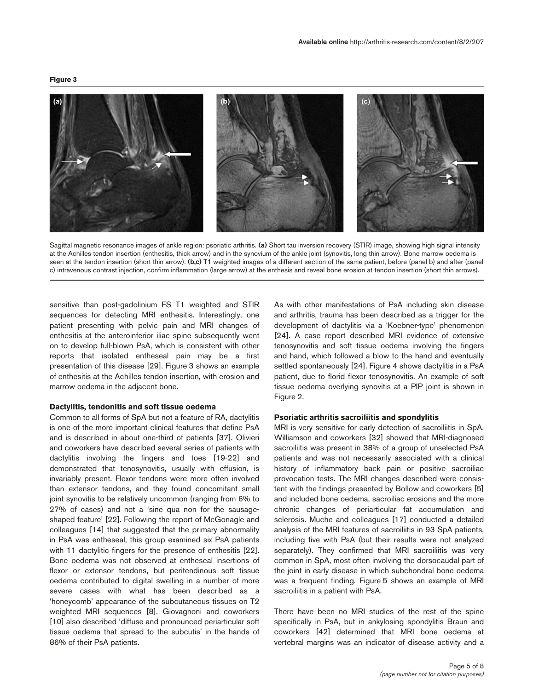

Sagittal magnetic resonance images of ankle region: psoriatic arthritis. **(a)** Short tau inversion recovery (STIR) image, showing high signal intensity at the Achilles tendon insertion (enthesitis, thick arrow) and in the synovium of the ankle joint (synovitis, long thin arrow). Bone marrow oedema is seen at the tendon insertion (short thin arrow). **(b,c)** T1 weighted images of a different section of the same patient, before (panel b) and after (panel c) intravenous contrast injection, confirm inflammation (large arrow) at the enthesis and reveal bone erosion at tendon insertion (short thin arrows).

sensitive than post-gadolinium FS T1 weighted and STIR sequences for detecting MRI enthesitis. Interestingly, one patient presenting with pelvic pain and MRI changes of enthesitis at the anteroinferior iliac spine subsequently went on to develop full-blown PsA, which is consistent with other reports that isolated entheseal pain may be a first presentation of this disease [29]. Figure 3 shows an example of enthesitis at the Achilles tendon insertion, with erosion and marrow oedema in the adjacent bone.

#### **Dactylitis, tendonitis and soft tissue oedema**

Common to all forms of SpA but not a feature of RA, dactylitis is one of the more important clinical features that define PsA and is described in about one-third of patients [37]. Olivieri and coworkers have described several series of patients with dactylitis involving the fingers and toes [19-22] and demonstrated that tenosynovitis, usually with effusion, is invariably present. Flexor tendons were more often involved than extensor tendons, and they found concomitant small joint synovitis to be relatively uncommon (ranging from 6% to 27% of cases) and not a 'sine qua non for the sausageshaped feature' [22]. Following the report of McGonagle and colleagues [14] that suggested that the primary abnormality in PsA was entheseal, this group examined six PsA patients with 11 dactylitic fingers for the presence of enthesitis [22]. Bone oedema was not observed at entheseal insertions of flexor or extensor tendons, but peritendinous soft tissue oedema contributed to digital swelling in a number of more severe cases with what has been described as a 'honeycomb' appearance of the subcutaneous tissues on T2 weighted MRI sequences [8]. Giovagnoni and coworkers [10] also described 'diffuse and pronounced periarticular soft tissue oedema that spread to the subcutis' in the hands of 86% of their PsA patients.

As with other manifestations of PsA including skin disease and arthritis, trauma has been described as a trigger for the development of dactylitis via a 'Koebner-type' phenomenon [24]. A case report described MRI evidence of extensive tenosynovitis and soft tissue oedema involving the fingers and hand, which followed a blow to the hand and eventually settled spontaneously [24]. Figure 4 shows dactylitis in a PsA patient, due to florid flexor tenosynovitis. An example of soft tissue oedema overlying synovitis at a PIP joint is shown in Figure 2.

#### **Psoriatic arthritis sacroiliitis and spondylitis**

MRI is very sensitive for early detection of sacroiliitis in SpA. Williamson and coworkers [32] showed that MRI-diagnosed sacroiliitis was present in 38% of a group of unselected PsA patients and was not necessarily associated with a clinical history of inflammatory back pain or positive sacroiliac provocation tests. The MRI changes described were consistent with the findings presented by Bollow and coworkers [5] and included bone oedema, sacroiliac erosions and the more chronic changes of periarticular fat accumulation and sclerosis. Muche and colleagues [17] conducted a detailed analysis of the MRI features of sacroiliitis in 93 SpA patients, including five with PsA (but their results were not analyzed separately). They confirmed that MRI sacroiliitis was very common in SpA, most often involving the dorsocaudal part of the joint in early disease in which subchondral bone oedema was a frequent finding. Figure 5 shows an example of MRI sacroiliitis in a patient with PsA.

There have been no MRI studies of the rest of the spine specifically in PsA, but in ankylosing spondylitis Braun and coworkers [42] determined that MRI bone oedema at vertebral margins was an indicator of disease activity and a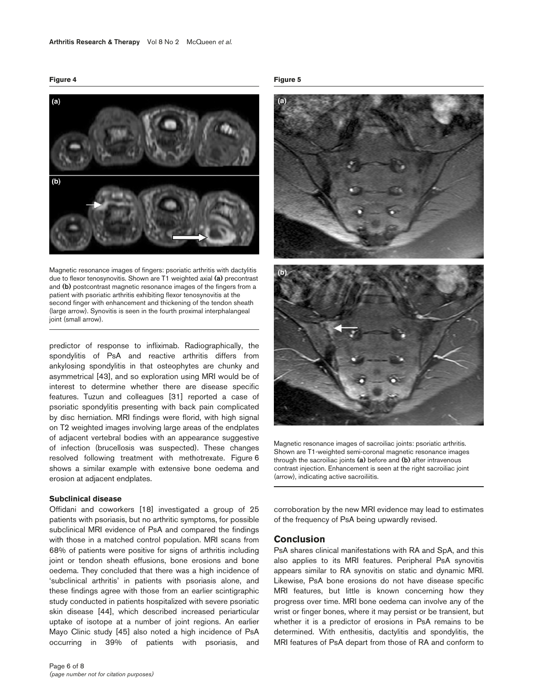

Magnetic resonance images of fingers: psoriatic arthritis with dactylitis due to flexor tenosynovitis. Shown are T1 weighted axial **(a)** precontrast and **(b)** postcontrast magnetic resonance images of the fingers from a patient with psoriatic arthritis exhibiting flexor tenosynovitis at the second finger with enhancement and thickening of the tendon sheath (large arrow). Synovitis is seen in the fourth proximal interphalangeal joint (small arrow).

predictor of response to infliximab. Radiographically, the spondylitis of PsA and reactive arthritis differs from ankylosing spondylitis in that osteophytes are chunky and asymmetrical [43], and so exploration using MRI would be of interest to determine whether there are disease specific features. Tuzun and colleagues [31] reported a case of psoriatic spondylitis presenting with back pain complicated by disc herniation. MRI findings were florid, with high signal on T2 weighted images involving large areas of the endplates of adjacent vertebral bodies with an appearance suggestive of infection (brucellosis was suspected). These changes resolved following treatment with methotrexate. Figure 6 shows a similar example with extensive bone oedema and erosion at adjacent endplates.

#### **Subclinical disease**

Offidani and coworkers [18] investigated a group of 25 patients with psoriasis, but no arthritic symptoms, for possible subclinical MRI evidence of PsA and compared the findings with those in a matched control population. MRI scans from 68% of patients were positive for signs of arthritis including joint or tendon sheath effusions, bone erosions and bone oedema. They concluded that there was a high incidence of 'subclinical arthritis' in patients with psoriasis alone, and these findings agree with those from an earlier scintigraphic study conducted in patients hospitalized with severe psoriatic skin disease [44], which described increased periarticular uptake of isotope at a number of joint regions. An earlier Mayo Clinic study [45] also noted a high incidence of PsA occurring in 39% of patients with psoriasis, and

#### **Figure 5**



Magnetic resonance images of sacroiliac joints: psoriatic arthritis. Shown are T1-weighted semi-coronal magnetic resonance images through the sacroiliac joints **(a)** before and **(b)** after intravenous contrast injection. Enhancement is seen at the right sacroiliac joint (arrow), indicating active sacroiliitis.

corroboration by the new MRI evidence may lead to estimates of the frequency of PsA being upwardly revised.

## **Conclusion**

PsA shares clinical manifestations with RA and SpA, and this also applies to its MRI features. Peripheral PsA synovitis appears similar to RA synovitis on static and dynamic MRI. Likewise, PsA bone erosions do not have disease specific MRI features, but little is known concerning how they progress over time. MRI bone oedema can involve any of the wrist or finger bones, where it may persist or be transient, but whether it is a predictor of erosions in PsA remains to be determined. With enthesitis, dactylitis and spondylitis, the MRI features of PsA depart from those of RA and conform to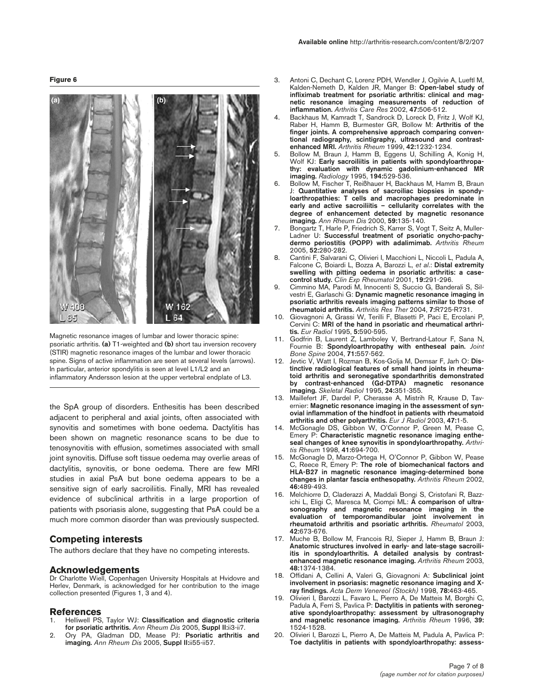

Magnetic resonance images of lumbar and lower thoracic spine: psoriatic arthritis. **(a)** T1-weighted and **(b)** short tau inversion recovery (STIR) magnetic resonance images of the lumbar and lower thoracic spine. Signs of active inflammation are seen at several levels (arrows). In particular, anterior spondylitis is seen at level L1/L2 and an inflammatory Andersson lesion at the upper vertebral endplate of L3.

the SpA group of disorders. Enthesitis has been described adjacent to peripheral and axial joints, often associated with synovitis and sometimes with bone oedema. Dactylitis has been shown on magnetic resonance scans to be due to tenosynovitis with effusion, sometimes associated with small joint synovitis. Diffuse soft tissue oedema may overlie areas of dactylitis, synovitis, or bone oedema. There are few MRI studies in axial PsA but bone oedema appears to be a sensitive sign of early sacroiliitis. Finally, MRI has revealed evidence of subclinical arthritis in a large proportion of patients with psoriasis alone, suggesting that PsA could be a much more common disorder than was previously suspected.

## **Competing interests**

The authors declare that they have no competing interests.

#### **Acknowledgements**

Dr Charlotte Wiell, Copenhagen University Hospitals at Hvidovre and Herlev, Denmark, is acknowledged for her contribution to the image collection presented (Figures 1, 3 and 4).

#### **References**

- 1. Helliwell PS, Taylor WJ: **Classification and diagnostic criteria for psoriatic arthritis.** *Ann Rheum Dis* 2005, **Suppl II:**ii3-ii7.
- 2. Ory PA, Gladman DD, Mease PJ: **Psoriatic arthritis and imaging.** *Ann Rheum Dis* 2005, **Suppl II:**ii55-ii57.
- 3. Antoni C, Dechant C, Lorenz PDH, Wendler J, Ogilvie A, Lueftl M, Kalden-Nemeth D, Kalden JR, Manger B: **Open-label study of infliximab treatment for psoriatic arthritis: clinical and magnetic resonance imaging measurements of reduction of inflammation.** *Arthritis Care Res* 2002, **47:**506-512.
- 4. Backhaus M, Kamradt T, Sandrock D, Loreck D, Fritz J, Wolf KJ, Raber H, Hamm B, Burmester GR, Bollow M: **Arthritis of the finger joints. A comprehensive approach comparing conventional radiography, scintigraphy, ultrasound and contrastenhanced MRI.** *Arthritis Rheum* 1999, **42:**1232-1234.
- 5. Bollow M, Braun J, Hamm B, Eggens U, Schilling A, Konig H, Wolf KJ: Early sacroiliitis in patients with spondyloarthropa**thy: evaluation with dynamic gadolinium-enhanced MR imaging.** *Radiology* 1995, **194:**529-536.
- 6. Bollow M, Fischer T, Reißhauer H, Backhaus M, Hamm B, Braun J: **Quantitative analyses of sacroiliac biopsies in spondyloarthropathies: T cells and macrophages predominate in early and active sacroiliitis – cellularity correlates with the degree of enhancement detected by magnetic resonance imaging.** *Ann Rheum Dis* 2000, **59:**135-140.
- 7. Bongartz T, Harle P, Friedrich S, Karrer S, Vogt T, Seitz A, Muller-Ladner U: **Successful treatment of psoriatic onycho-pachydermo periostitis (POPP) with adalimimab.** *Arthritis Rheum* 2005, **52:**280-282.
- 8. Cantini F, Salvarani C, Olivieri I, Macchioni L, Niccoli L, Padula A, Falcone C, Boiardi L, Bozza A, Barozzi L, *et al*.: **Distal extremity swelling with pitting oedema in psoriatic arthritis: a casecontrol study.** *Clin Exp Rheumatol* 2001, **19:**291-296.
- 9. Cimmino MA, Parodi M, Innocenti S, Succio G, Banderali S, Silvestri E, Garlaschi G: **Dynamic magnetic resonance imaging in psoriatic arthritis reveals imaging patterns similar to those of rheumatoid arthritis.** *Arthritis Res Ther* 2004, **7:**R725-R731.
- 10. Giovagnoni A, Grassi W, Terilli F, Blasetti P, Paci E, Ercolani P, Cervini C: **MRI of the hand in psoriatic and rheumatical arthritis.** *Eur Radiol* 1995, **5:**590-595.
- 11. Godfrin B, Laurent Z, Lamboley V, Bertrand-Latour F, Sana N, Fournie B: **Spondyloarthropathy with entheseal pain.** *Joint Bone Spine* 2004, **71:**557-562.
- 12. Jevtic V, Watt I, Rozman B, Kos-Golja M, Demsar F, Jarh O: **Distinctive radiological features of small hand joints in rheumatoid arthritis and seronegative spondarthritis demonstrated by contrast-enhanced (Gd-DTPA) magnetic resonance imaging.** *Skeletal Radiol* 1995, **24:**351-355.
- 13. Maillefert JF, Dardel P, Cherasse A, Mistrih R, Krause D, Tavernier: **Magnetic resonance imaging in the assessment of synovial inflammation of the hindfoot in patients with rheumatoid arthritis and other polyarthritis.** *Eur J Radiol* 2003, **47:**1-5.
- 14. McGonagle DS, Gibbon W, O'Connor P, Green M, Pease C, Emery P: **Characteristic magnetic resonance imaging entheseal changes of knee synovitis in spondyloarthropathy.** *Arthritis Rheum* 1998, **41:**694-700.
- 15. McGonagle D, Marzo-Ortega H, O'Connor P, Gibbon W, Pease C, Reece R, Emery P: **The role of biomechanical factors and HLA-B27 in magnetic resonance imaging-determined bone changes in plantar fascia enthesopathy.** *Arthritis Rheum* 2002, **46:**489-493.
- 16. Melchiorre D, Claderazzi A, Maddali Bongi S, Cristofani R, Bazzichi L, Eligi C, Maresca M, Ciompi ML: **A comparison of ultrasonography and magnetic resonance imaging in the evaluation of temporomandibular joint involvement in rheumatoid arthritis and psoriatic arthritis.** *Rheumatol* 2003, **42:**673-676.
- 17. Muche B, Bollow M, Francois RJ, Sieper J, Hamm B, Braun J: **Anatomic structures involved in early- and late-stage sacroiliitis in spondyloarthritis. A detailed analysis by contrastenhanced magnetic resonance imaging.** *Arthritis Rheum* 2003, **48:**1374-1384.
- 18. Offidani A, Cellini A, Valeri G, Giovagnoni A: **Subclinical joint involvement in psoriasis: magnetic resonance imaging and Xray findings.** *Acta Derm Venereol (Stockh)* 1998, **78:**463-465.
- 19. Olivieri I, Barozzi L, Favaro L, Pierro A, De Matteis M, Borghi C, Padula A, Ferri S, Pavlica P: **Dactylitis in patients with seronegative spondyloarthropathy: assessment by ultrasonography and magnetic resonance imaging.** *Arthritis Rheum* 1996, **39:** 1524-1528.
- 20. Olivieri I, Barozzi L, Pierro A, De Matteis M, Padula A, Pavlica P: **Toe dactylitis in patients with spondyloarthropathy: assess-**